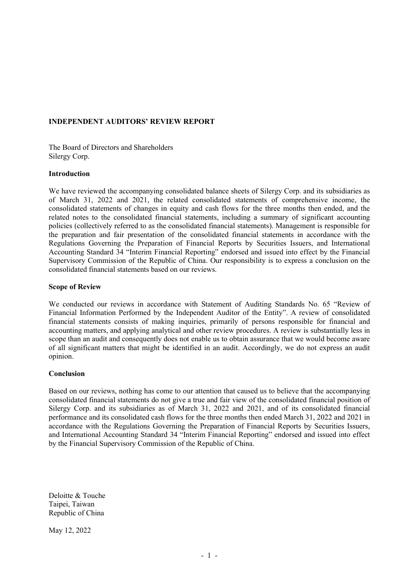## INDEPENDENT AUDITORS' REVIEW REPORT

The Board of Directors and Shareholders Silergy Corp.

#### Introduction

We have reviewed the accompanying consolidated balance sheets of Silergy Corp. and its subsidiaries as of March 31, 2022 and 2021, the related consolidated statements of comprehensive income, the consolidated statements of changes in equity and cash flows for the three months then ended, and the related notes to the consolidated financial statements, including a summary of significant accounting policies (collectively referred to as the consolidated financial statements). Management is responsible for the preparation and fair presentation of the consolidated financial statements in accordance with the Regulations Governing the Preparation of Financial Reports by Securities Issuers, and International Accounting Standard 34 "Interim Financial Reporting" endorsed and issued into effect by the Financial Supervisory Commission of the Republic of China. Our responsibility is to express a conclusion on the consolidated financial statements based on our reviews.

#### Scope of Review

We conducted our reviews in accordance with Statement of Auditing Standards No. 65 "Review of Financial Information Performed by the Independent Auditor of the Entity". A review of consolidated financial statements consists of making inquiries, primarily of persons responsible for financial and accounting matters, and applying analytical and other review procedures. A review is substantially less in scope than an audit and consequently does not enable us to obtain assurance that we would become aware of all significant matters that might be identified in an audit. Accordingly, we do not express an audit opinion.

### **Conclusion**

Based on our reviews, nothing has come to our attention that caused us to believe that the accompanying consolidated financial statements do not give a true and fair view of the consolidated financial position of Silergy Corp. and its subsidiaries as of March 31, 2022 and 2021, and of its consolidated financial performance and its consolidated cash flows for the three months then ended March 31, 2022 and 2021 in accordance with the Regulations Governing the Preparation of Financial Reports by Securities Issuers, and International Accounting Standard 34 "Interim Financial Reporting" endorsed and issued into effect by the Financial Supervisory Commission of the Republic of China.

Deloitte & Touche Taipei, Taiwan Republic of China

May 12, 2022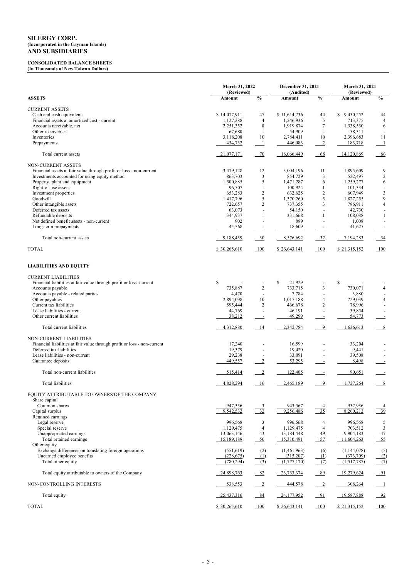### CONSOLIDATED BALANCE SHEETS (In Thousands of New Taiwan Dollars)

|                                                                          | March 31, 2022<br>(Reviewed) |                            | December 31, 2021<br>(Audited) |                            | March 31, 2021<br>(Reviewed) |                                  |
|--------------------------------------------------------------------------|------------------------------|----------------------------|--------------------------------|----------------------------|------------------------------|----------------------------------|
| <b>ASSETS</b>                                                            | Amount                       | $\frac{0}{0}$              | Amount                         | $\frac{0}{0}$              | Amount                       | $\frac{0}{0}$                    |
| <b>CURRENT ASSETS</b>                                                    |                              |                            |                                |                            |                              |                                  |
| Cash and cash equivalents                                                | \$14,077,911                 | 47                         | \$11,614,236                   | 44                         | \$9,430,252                  | 44                               |
| Financial assets at amortized cost - current                             | 1,127,288                    | $\overline{4}$             | 1,246,936                      | $\mathfrak{S}$             | 713,375                      | $\overline{4}$                   |
| Accounts receivable, net                                                 | 2,251,352                    | 8                          | 1,919,874                      | 7                          | 1,338,530                    | 6                                |
| Other receivables                                                        | 67,680                       |                            | 54,909                         |                            | 58,311                       |                                  |
| Inventories                                                              | 3,118,208                    | 10                         | 2,784,411                      | 10                         | 2,396,683                    | 11                               |
| Prepayments                                                              | 434,732                      | $\overline{\phantom{0}1}$  | 446,083                        | $\frac{2}{2}$              | 183,718                      | $\perp$                          |
| Total current assets                                                     | 21,077,171                   | $-70$                      | 18,066,449                     | 68                         | 14,120,869                   | 66                               |
| <b>NON-CURRENT ASSETS</b>                                                |                              |                            |                                |                            |                              |                                  |
| Financial assets at fair value through profit or loss - non-current      | 3,479,128                    | 12                         | 3,004,196                      | 11                         | 1,895,609                    | 9                                |
| Investments accounted for using equity method                            | 863,703                      | $\mathfrak{Z}$             | 854,729                        | $\mathfrak{Z}$             | 522,497                      | $\sqrt{2}$                       |
| Property, plant and equipment                                            | 1,500,885                    | $\sqrt{5}$                 | 1,471,287                      | 6                          | 1,259,277                    | $\sqrt{6}$                       |
| Right-of-use assets                                                      | 96,507                       |                            | 100,924                        | 1<br>$\overline{2}$        | 101,334<br>607,949           |                                  |
| Investment properties<br>Goodwill                                        | 653,283<br>1,417,796         | $\overline{2}$<br>5        | 632,625<br>1,370,260           | 5                          | 1,827,255                    | $\mathfrak{Z}$<br>$\overline{9}$ |
| Other intangible assets                                                  | 722,657                      | $\sqrt{2}$                 | 737,355                        | 3                          | 786,911                      | $\overline{4}$                   |
| Deferred tax assets                                                      | 63,073                       |                            | 54,150                         |                            | 42,730                       |                                  |
| Refundable deposits                                                      | 344,937                      | 1                          | 331,668                        | $\mathbf{1}$               | 108,088                      | -1                               |
| Net defined benefit assets - non-current                                 | 902                          |                            | 889                            |                            | 1,008                        |                                  |
| Long-term prepayments                                                    | 45,568                       |                            | 18,609                         |                            | 41,625                       |                                  |
| Total non-current assets                                                 | 9,188,439                    | $-30$                      | 8,576,692                      | $-32$                      | 7,194,283                    | $-34$                            |
| <b>TOTAL</b>                                                             | \$30,265,610                 | 100                        | \$26,643,141                   | 100                        | \$21,315,152                 | 100                              |
|                                                                          |                              |                            |                                |                            |                              |                                  |
| <b>LIABILITIES AND EQUITY</b>                                            |                              |                            |                                |                            |                              |                                  |
| <b>CURRENT LIABILITIES</b>                                               |                              |                            |                                |                            |                              |                                  |
| Financial liabilities at fair value through profit or loss -current      | \$                           |                            | $\mathbb{S}$<br>21,929         |                            | $\mathbb{S}$                 |                                  |
| Accounts payable                                                         | 735,887                      | $\overline{2}$             | 733,715                        | $\mathfrak{Z}$             | 730,071                      | 4                                |
| Accounts payable - related parties                                       | 4,470                        |                            | 7,784                          |                            | 3,880                        |                                  |
| Other payables                                                           | 2,894,098                    | $10\,$                     | 1,017,188                      | 4                          | 729,039                      | 4                                |
| Current tax liabilities                                                  | 595,444                      | $\overline{2}$             | 466,678                        | $\overline{2}$             | 78,996                       |                                  |
| Lease liabilities - current                                              | 44,769                       |                            | 46,191                         |                            | 39,854                       |                                  |
| Other current liabilities                                                | 38,212                       |                            | 49,299                         |                            | 54,773                       |                                  |
| Total current liabilities                                                | 4,312,880                    | 14                         | 2,342,784                      | $\overline{9}$             | 1,636,613                    | 8                                |
| <b>NON-CURRENT LIABILITIES</b>                                           |                              |                            |                                |                            |                              |                                  |
| Financial liabilities at fair value through profit or loss - non-current | 17,240                       |                            | 16,599                         |                            | 33,204                       |                                  |
| Deferred tax liabilities                                                 | 19,379                       |                            | 19,420                         |                            | 9,441                        |                                  |
| Lease liabilities - non-current                                          | 29,238                       |                            | 33,091                         |                            | 39,508                       |                                  |
| Guarantee deposits                                                       | 449,557                      | $\frac{2}{2}$              | 53,295                         |                            | 8,498                        |                                  |
| Total non-current liabilities                                            | 515,414                      | $\frac{2}{2}$              | 122,405                        |                            | 90,651                       | $\equiv$                         |
| <b>Total liabilities</b>                                                 | 4,828,294                    | $-16$                      | 2,465,189                      | -9                         | 1,727,264                    | 8                                |
| EQUITY ATTRIBUTABLE TO OWNERS OF THE COMPANY                             |                              |                            |                                |                            |                              |                                  |
| Share capital                                                            |                              |                            |                                |                            |                              |                                  |
| Common shares                                                            | 947,336                      | $\frac{3}{2}$              | 943,567                        | $\overline{4}$             | 932,936                      | $\frac{4}{1}$                    |
| Capital surplus                                                          | 9,542,532                    | $\frac{32}{2}$             | 9,256,486                      | $-35$                      | 8,260,212                    | $\frac{39}{2}$                   |
| Retained earnings<br>Legal reserve                                       | 996,568                      |                            | 996,568                        |                            | 996,568                      |                                  |
| Special reserve                                                          | 1,129,475                    | 3<br>$\overline{4}$        | 1,129,475                      | 4<br>$\overline{4}$        | 703,512                      | $\overline{5}$<br>$\overline{3}$ |
| Unappropriated earnings                                                  | 13,063,146                   |                            | 13,184,448                     |                            | 9,904,183                    |                                  |
| Total retained earnings                                                  | 15,189,189                   | $\frac{43}{50}$            | 15,310,491                     | $\frac{49}{57}$            | 11,604,263                   | $\frac{47}{55}$                  |
| Other equity                                                             |                              |                            |                                |                            |                              |                                  |
| Exchange differences on translating foreign operations                   | (551, 619)                   | (2)                        | (1,461,963)                    | (6)                        | (1,144,078)                  | (5)                              |
| Unearned employee benefits                                               | (228,675)                    | (1)                        | (315,207)                      | (1)                        | (373,709)                    |                                  |
| Total other equity                                                       | (780, 294)                   | (3)                        | (1,777,170)                    | (7)                        | (1,517,787)                  | $\frac{(2)}{(7)}$                |
| Total equity attributable to owners of the Company                       | 24,898,763                   | $-82$                      | 23,733,374                     | 89                         | 19,279,624                   | $-91$                            |
| NON-CONTROLLING INTERESTS                                                | 538,553                      | $\overline{\phantom{0}}^2$ | 444,578                        | $\overline{\phantom{0}}^2$ | 308,264                      | $\overline{\phantom{0}}$         |
| Total equity                                                             | 25,437,316                   | $-84$                      | 24,177,952                     | $-91$                      | 19,587,888                   | $-92$                            |
| <b>TOTAL</b>                                                             | \$30,265,610                 | 100                        | \$26,643,141                   | 100                        | \$21,315,152                 | 100                              |
|                                                                          |                              |                            |                                |                            |                              |                                  |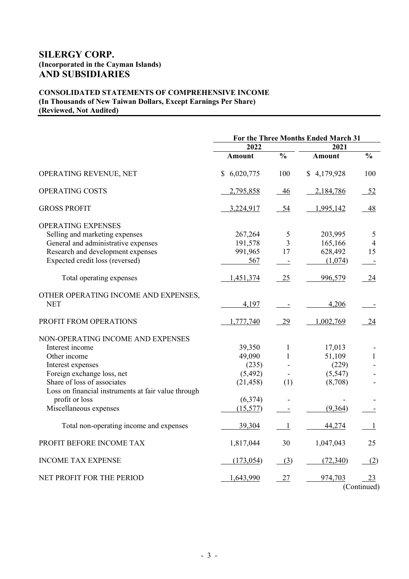# CONSOLIDATED STATEMENTS OF COMPREHENSIVE INCOME (In Thousands of New Taiwan Dollars, Except Earnings Per Share) (Reviewed, Not Audited)

|                                                     | For the Three Months Ended March 31 |                          |             |                                                       |  |
|-----------------------------------------------------|-------------------------------------|--------------------------|-------------|-------------------------------------------------------|--|
|                                                     | 2022                                |                          | 2021        |                                                       |  |
|                                                     | <b>Amount</b>                       | $\frac{0}{0}$            | Amount      | $\frac{0}{0}$                                         |  |
| OPERATING REVENUE, NET                              | \$6,020,775                         | 100                      | \$4,179,928 | 100                                                   |  |
| OPERATING COSTS                                     | 2,795,858                           | 46                       | 2,184,786   | 52                                                    |  |
| <b>GROSS PROFIT</b>                                 | 3,224,917                           | 54                       | 1,995,142   | 48                                                    |  |
| <b>OPERATING EXPENSES</b>                           |                                     |                          |             |                                                       |  |
| Selling and marketing expenses                      | 267,264                             | 5                        | 203,995     | 5                                                     |  |
| General and administrative expenses                 | 191,578                             | 3                        | 165,166     | $\overline{4}$                                        |  |
| Research and development expenses                   | 991,965                             | 17                       | 628,492     | 15                                                    |  |
| Expected credit loss (reversed)                     | 567                                 |                          | (1,074)     |                                                       |  |
| Total operating expenses                            | 1,451,374                           | 25                       | 996,579     | 24                                                    |  |
| OTHER OPERATING INCOME AND EXPENSES,                |                                     |                          |             |                                                       |  |
| <b>NET</b>                                          | 4,197                               | $\overline{\phantom{a}}$ | 4,206       |                                                       |  |
| PROFIT FROM OPERATIONS                              | 1,777,740                           | 29                       | 1,002,769   | 24                                                    |  |
| NON-OPERATING INCOME AND EXPENSES                   |                                     |                          |             |                                                       |  |
| Interest income                                     | 39,350                              | 1                        | 17,013      |                                                       |  |
| Other income                                        | 49,090                              | $\mathbf{1}$             | 51,109      | $\mathbf{1}$                                          |  |
| Interest expenses                                   | (235)                               |                          | (229)       |                                                       |  |
| Foreign exchange loss, net                          | (5,492)                             |                          | (5, 547)    |                                                       |  |
| Share of loss of associates                         | (21, 458)                           | (1)                      | (8,708)     |                                                       |  |
| Loss on financial instruments at fair value through |                                     |                          |             |                                                       |  |
| profit or loss                                      | (6,374)                             | $\frac{1}{2}$            |             |                                                       |  |
| Miscellaneous expenses                              | (15, 577)                           |                          | (9,364)     |                                                       |  |
| Total non-operating income and expenses             | 39,304                              | $\mathbf{1}$             | 44,274      |                                                       |  |
| PROFIT BEFORE INCOME TAX                            | 1,817,044                           | 30                       | 1,047,043   | 25                                                    |  |
| <b>INCOME TAX EXPENSE</b>                           | (173, 054)                          | (3)                      | (72,340)    | (2)                                                   |  |
| NET PROFIT FOR THE PERIOD                           | 1,643,990                           | 27                       | 974,703     | <u>23</u><br>$(C_{\alpha\mu}+i\alpha\mu\alpha\alpha)$ |  |

(Continued)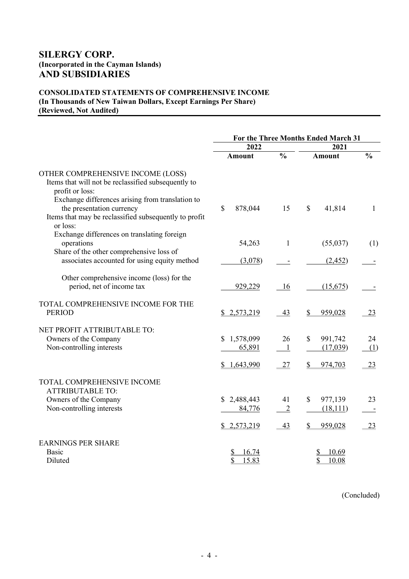# CONSOLIDATED STATEMENTS OF COMPREHENSIVE INCOME (In Thousands of New Taiwan Dollars, Except Earnings Per Share) (Reviewed, Not Audited)

|                                                                                                                                                    | For the Three Months Ended March 31 |                      |                                      |               |  |  |
|----------------------------------------------------------------------------------------------------------------------------------------------------|-------------------------------------|----------------------|--------------------------------------|---------------|--|--|
|                                                                                                                                                    | 2022                                |                      | 2021                                 |               |  |  |
|                                                                                                                                                    | <b>Amount</b>                       | $\frac{0}{0}$        | <b>Amount</b>                        | $\frac{0}{0}$ |  |  |
| OTHER COMPREHENSIVE INCOME (LOSS)<br>Items that will not be reclassified subsequently to<br>profit or loss:                                        |                                     |                      |                                      |               |  |  |
| Exchange differences arising from translation to<br>the presentation currency<br>Items that may be reclassified subsequently to profit<br>or loss: | \$<br>878,044                       | 15                   | 41,814<br>\$                         | 1             |  |  |
| Exchange differences on translating foreign<br>operations<br>Share of the other comprehensive loss of                                              | 54,263                              | 1                    | (55,037)                             | (1)           |  |  |
| associates accounted for using equity method                                                                                                       | (3,078)                             |                      | (2,452)                              |               |  |  |
| Other comprehensive income (loss) for the<br>period, net of income tax                                                                             | 929,229                             | 16                   | (15,675)                             |               |  |  |
| TOTAL COMPREHENSIVE INCOME FOR THE<br><b>PERIOD</b>                                                                                                | \$2,573,219                         | 43                   | 959,028                              | 23            |  |  |
| NET PROFIT ATTRIBUTABLE TO:<br>Owners of the Company<br>Non-controlling interests                                                                  | 1,578,099<br>65,891                 | 26<br>$\mathbf{1}$   | 991,742<br>$\mathcal{S}$<br>(17,039) | 24<br>(1)     |  |  |
|                                                                                                                                                    | \$1,643,990                         | 27                   | 974,703<br>\$                        | 23            |  |  |
| TOTAL COMPREHENSIVE INCOME<br><b>ATTRIBUTABLE TO:</b>                                                                                              |                                     |                      |                                      |               |  |  |
| Owners of the Company<br>Non-controlling interests                                                                                                 | \$2,488,443<br>84,776               | 41<br>$\overline{2}$ | 977,139<br>\$<br>(18,111)            | 23            |  |  |
|                                                                                                                                                    | \$2,573,219                         | 43                   | 959,028<br>S                         | 23            |  |  |
| <b>EARNINGS PER SHARE</b><br>Basic                                                                                                                 | 16.74                               |                      | 10.69                                |               |  |  |
| Diluted                                                                                                                                            | \$<br>15.83                         |                      | 10.08                                |               |  |  |

(Concluded)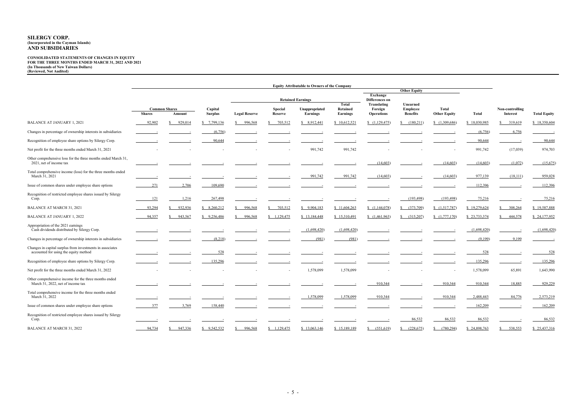#### CONSOLIDATED STATEMENTS OF CHANGES IN EQUITY FOR THE THREE MONTHS ENDED MARCH 31, 2022 AND 2021 (In Thousands of New Taiwan Dollars) (Reviewed, Not Audited)

|                                                                                                    | <b>Equity Attributable to Owners of the Company</b> |                                                             |             |                                                          |                     |                                                                                         |                            |                                             |                                                |                                     |              |                                    |                     |
|----------------------------------------------------------------------------------------------------|-----------------------------------------------------|-------------------------------------------------------------|-------------|----------------------------------------------------------|---------------------|-----------------------------------------------------------------------------------------|----------------------------|---------------------------------------------|------------------------------------------------|-------------------------------------|--------------|------------------------------------|---------------------|
|                                                                                                    |                                                     |                                                             |             |                                                          | <b>Other Equity</b> |                                                                                         |                            |                                             |                                                |                                     |              |                                    |                     |
|                                                                                                    |                                                     |                                                             |             | <b>Retained Earnings</b>                                 |                     |                                                                                         | Exchange<br>Differences on |                                             |                                                |                                     |              |                                    |                     |
|                                                                                                    | <b>Shares</b>                                       | <b>Common Shares</b><br>Capital<br><b>Surplus</b><br>Amount |             | <b>Special</b><br><b>Legal Reserve</b><br><b>Reserve</b> |                     | <b>Total</b><br><b>Unappropriated</b><br><b>Retained</b><br>Earnings<br><b>Earnings</b> |                            | Translating<br>Foreign<br><b>Operations</b> | Unearned<br><b>Employee</b><br><b>Benefits</b> | <b>Total</b><br><b>Other Equity</b> | Total        | Non-controlling<br><b>Interest</b> | <b>Total Equity</b> |
| <b>BALANCE AT JANUARY 1, 2021</b>                                                                  | 92,902                                              | 929,014<br>S                                                | \$7,799,136 | 996,568<br><sup>S</sup>                                  | 703,512             | \$8,912,441                                                                             | \$10,612,521               | (1,129,475)                                 | \$ (180,211)                                   | (1,309,686)                         | \$18,030,985 | \$319,619                          | \$18,350,604        |
| Changes in percentage of ownership interests in subsidiaries                                       |                                                     |                                                             | (6,756)     |                                                          |                     |                                                                                         |                            |                                             |                                                |                                     | (6,756)      | 6,756                              |                     |
| Recognition of employee share options by Silergy Corp.                                             |                                                     |                                                             | 90,644      |                                                          |                     |                                                                                         |                            |                                             |                                                |                                     | 90,644       |                                    | 90,644              |
| Net profit for the three months ended March 31, 2021                                               |                                                     |                                                             |             |                                                          |                     | 991,742                                                                                 | 991,742                    |                                             |                                                |                                     | 991,742      | (17,039)                           | 974,703             |
| Other comprehensive loss for the three months ended March 31,<br>2021, net of income tax           |                                                     |                                                             |             |                                                          |                     |                                                                                         |                            | (14,603)                                    |                                                | (14,603)                            | (14,603)     | (1,072)                            | (15,675)            |
| Total comprehensive income (loss) for the three months ended<br>March 31, 2021                     |                                                     |                                                             |             |                                                          |                     | 991,742                                                                                 | 991,742                    | (14,603)                                    |                                                | (14,603)                            | 977,139      | (18,111)                           | 959,028             |
| Issue of common shares under employee share options                                                | <u>271</u>                                          | 2,706                                                       | 109,690     |                                                          |                     |                                                                                         |                            |                                             |                                                |                                     | 112,396      |                                    | 112,396             |
| Recognition of restricted employee shares issued by Silergy<br>Corp.                               | <u>121</u>                                          | 1,216                                                       | 267,498     |                                                          |                     |                                                                                         |                            |                                             | (193, 498)                                     | (193, 498)                          | 75,216       |                                    | 75,216              |
| <b>BALANCE AT MARCH 31, 2021</b>                                                                   | 93,294                                              | 932,936                                                     | \$8,260,212 | 996,568<br><sup>\$</sup>                                 | 703,512             | \$9,904,183                                                                             | \$11,604,263               | (1,144,078)                                 | $\frac{(373,709)}{2}$                          | (1,517,787)                         | \$19,279,624 | \$308,264                          | \$19,587,888        |
| <b>BALANCE AT JANUARY 1, 2022</b>                                                                  | 94,357                                              | 943,567<br>S                                                | \$9,256,486 | 996,568<br><sup>\$</sup>                                 | \$1,129,475         | \$13,184,448                                                                            | \$15,310,491               | (1,461,963)                                 | \$ (315,207)                                   | (1,777,170)                         | \$23,733,374 | \$ 444,578                         | \$24,177,952        |
| Appropriation of the 2021 earnings<br>Cash dividends distributed by Silergy Corp.                  |                                                     |                                                             |             |                                                          |                     | (1,698,420)                                                                             | (1,698,420)                |                                             |                                                |                                     | (1,698,420)  |                                    | (1,698,420)         |
| Changes in percentage of ownership interests in subsidiaries                                       |                                                     |                                                             | (8,218)     |                                                          |                     | (981)                                                                                   | (981)                      |                                             |                                                |                                     | (9,199)      | 9,199                              |                     |
| Changes in capital surplus from investments in associates<br>accounted for using the equity method |                                                     |                                                             | 528         |                                                          |                     |                                                                                         |                            |                                             |                                                |                                     | 528          |                                    | 528                 |
| Recognition of employee share options by Silergy Corp.                                             |                                                     |                                                             | 135,296     |                                                          |                     |                                                                                         |                            |                                             |                                                |                                     | 135,296      |                                    | 135,296             |
| Net profit for the three months ended March 31, 2022                                               |                                                     |                                                             |             |                                                          |                     | 1,578,099                                                                               | 1,578,099                  |                                             |                                                |                                     | 1,578,099    | 65,891                             | 1,643,990           |
| Other comprehensive income for the three months ended<br>March 31, 2022, net of income tax         |                                                     |                                                             |             |                                                          |                     |                                                                                         |                            | 910,344                                     |                                                | 910,344                             | 910,344      | 18,885                             | 929,229             |
| Total comprehensive income for the three months ended<br>March 31, 2022                            |                                                     |                                                             |             |                                                          |                     | 1,578,099                                                                               | 1,578,099                  | 910,344                                     |                                                | 910,344                             | 2,488,443    | 84,776                             | 2,573,219           |
| Issue of common shares under employee share options                                                | 377                                                 | 3,769                                                       | 158,440     |                                                          |                     |                                                                                         |                            |                                             |                                                |                                     | 162,209      |                                    | 162,209             |
| Recognition of restricted employee shares issued by Silergy<br>Corp.                               |                                                     |                                                             |             |                                                          |                     |                                                                                         |                            |                                             | 86,532                                         | 86,532                              | 86,532       |                                    | 86,532              |
| BALANCE AT MARCH 31, 2022                                                                          | 94,734                                              | 947,336<br><b>S</b>                                         | \$9,542,532 | 996,568<br><sup>\$</sup>                                 | \$1,129,475         | \$13,063,146                                                                            | \$15,189,189               | \$ (551,619)                                | $\frac{\$}{228,675}$                           | (780, 294)<br>S.                    | \$24,898,763 | \$538,553                          | \$25,437,316        |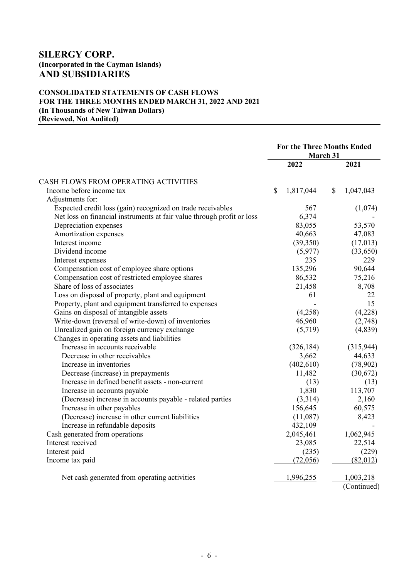## CONSOLIDATED STATEMENTS OF CASH FLOWS FOR THE THREE MONTHS ENDED MARCH 31, 2022 AND 2021 (In Thousands of New Taiwan Dollars) (Reviewed, Not Audited)

|                                                                        | <b>For the Three Months Ended</b><br>March 31 |            |               |             |
|------------------------------------------------------------------------|-----------------------------------------------|------------|---------------|-------------|
|                                                                        |                                               | 2022       |               | 2021        |
| CASH FLOWS FROM OPERATING ACTIVITIES                                   |                                               |            |               |             |
| Income before income tax                                               | $\mathbb{S}$                                  | 1,817,044  | $\mathcal{S}$ | 1,047,043   |
| Adjustments for:                                                       |                                               |            |               |             |
| Expected credit loss (gain) recognized on trade receivables            |                                               | 567        |               | (1,074)     |
| Net loss on financial instruments at fair value through profit or loss |                                               | 6,374      |               |             |
| Depreciation expenses                                                  |                                               | 83,055     |               | 53,570      |
| Amortization expenses                                                  |                                               | 40,663     |               | 47,083      |
| Interest income                                                        |                                               | (39,350)   |               | (17,013)    |
| Dividend income                                                        |                                               | (5,977)    |               | (33,650)    |
| Interest expenses                                                      |                                               | 235        |               | 229         |
| Compensation cost of employee share options                            |                                               | 135,296    |               | 90,644      |
| Compensation cost of restricted employee shares                        |                                               | 86,532     |               | 75,216      |
| Share of loss of associates                                            |                                               | 21,458     |               | 8,708       |
| Loss on disposal of property, plant and equipment                      |                                               | 61         |               | 22.         |
| Property, plant and equipment transferred to expenses                  |                                               |            |               | 15          |
| Gains on disposal of intangible assets                                 |                                               | (4,258)    |               | (4,228)     |
| Write-down (reversal of write-down) of inventories                     |                                               | 46,960     |               | (2,748)     |
| Unrealized gain on foreign currency exchange                           |                                               | (5,719)    |               | (4,839)     |
| Changes in operating assets and liabilities                            |                                               |            |               |             |
| Increase in accounts receivable                                        |                                               | (326, 184) |               | (315,944)   |
| Decrease in other receivables                                          |                                               | 3,662      |               | 44,633      |
| Increase in inventories                                                |                                               | (402, 610) |               | (78,902)    |
| Decrease (increase) in prepayments                                     |                                               | 11,482     |               | (30,672)    |
| Increase in defined benefit assets - non-current                       |                                               | (13)       |               | (13)        |
| Increase in accounts payable                                           |                                               | 1,830      |               | 113,707     |
| (Decrease) increase in accounts payable - related parties              |                                               | (3,314)    |               | 2,160       |
| Increase in other payables                                             |                                               | 156,645    |               | 60,575      |
| (Decrease) increase in other current liabilities                       |                                               | (11,087)   |               | 8,423       |
| Increase in refundable deposits                                        |                                               | 432,109    |               |             |
| Cash generated from operations                                         |                                               | 2,045,461  |               | 1,062,945   |
| Interest received                                                      |                                               | 23,085     |               | 22,514      |
| Interest paid                                                          |                                               | (235)      |               | (229)       |
| Income tax paid                                                        |                                               | (72,056)   |               | (82,012)    |
| Net cash generated from operating activities                           |                                               | 1,996,255  |               | 1,003,218   |
|                                                                        |                                               |            |               | (Continued) |